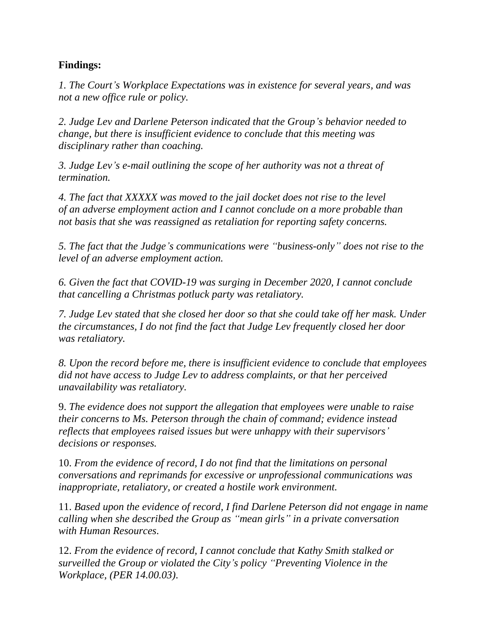## **Findings:**

*1. The Court's Workplace Expectations was in existence for several years, and was not a new office rule or policy.*

*2. Judge Lev and Darlene Peterson indicated that the Group's behavior needed to change, but there is insufficient evidence to conclude that this meeting was disciplinary rather than coaching.*

*3. Judge Lev's e-mail outlining the scope of her authority was not a threat of termination.*

*4. The fact that XXXXX was moved to the jail docket does not rise to the level of an adverse employment action and I cannot conclude on a more probable than not basis that she was reassigned as retaliation for reporting safety concerns.*

*5. The fact that the Judge's communications were "business-only" does not rise to the level of an adverse employment action.*

*6. Given the fact that COVID-19 was surging in December 2020, I cannot conclude that cancelling a Christmas potluck party was retaliatory.*

*7. Judge Lev stated that she closed her door so that she could take off her mask. Under the circumstances, I do not find the fact that Judge Lev frequently closed her door was retaliatory.*

*8. Upon the record before me, there is insufficient evidence to conclude that employees did not have access to Judge Lev to address complaints, or that her perceived unavailability was retaliatory.*

9. *The evidence does not support the allegation that employees were unable to raise their concerns to Ms. Peterson through the chain of command; evidence instead reflects that employees raised issues but were unhappy with their supervisors' decisions or responses.*

10. *From the evidence of record, I do not find that the limitations on personal conversations and reprimands for excessive or unprofessional communications was inappropriate, retaliatory, or created a hostile work environment.*

11. *Based upon the evidence of record, I find Darlene Peterson did not engage in name calling when she described the Group as "mean girls" in a private conversation with Human Resources.*

12. *From the evidence of record, I cannot conclude that Kathy Smith stalked or surveilled the Group or violated the City's policy "Preventing Violence in the Workplace, (PER 14.00.03)*.